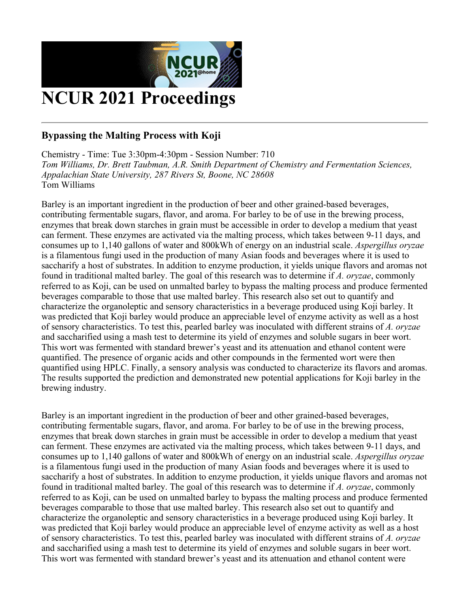

# **Bypassing the Malting Process with Koji**

**Chemistry - Time: Tue 3:30pm-4:30pm - Session Number: 710** *Tom Williams, Dr. Brett Taubman, A.R. Smith Department of Chemistry and Fermentation Sciences, Appalachian State University, 287 Rivers St, Boone, NC 28608* **Tom Williams**

**Barley is an important ingredient in the production of beer and other grained-based beverages, contributing fermentable sugars, flavor, and aroma. For barley to be of use in the brewing process,** enzymes that break down starches in grain must be accessible in order to develop a medium that yeast **can ferment. These enzymes are activated via the malting process, which takes between 9-11 days, and consumes up to 1,140 gallons of water and 800kWh of energy on an industrial scale.** *Aspergillus oryzae* is a filamentous fungi used in the production of many Asian foods and beverages where it is used to saccharify a host of substrates. In addition to enzyme production, it yields unique flavors and aromas not found in traditional malted barley. The goal of this research was to determine if A, oryzae, commonly referred to as Koji, can be used on unmalted barley to bypass the malting process and produce fermented **beverages comparable to those that use malted barley. This research also set out to quantify and characterize the organoleptic and sensory characteristics in a beverage produced using Koji barley. It** was predicted that Koji barley would produce an appreciable level of enzyme activity as well as a host **of sensory characteristics. To test this, pearled barley was inoculated with different strains of** *A. oryzae* and saccharified using a mash test to determine its yield of enzymes and soluble sugars in beer wort. **This wort was fermented with standard brewer's yeast and its attenuation and ethanol content were quantified. The presence of organic acids and other compounds in the fermented wort were then quantified using HPLC. Finally, a sensory analysis was conducted to characterize its flavors and aromas. The results supported the prediction and demonstrated new potential applications for Koji barley in the brewing industry.** 

**Barley is an important ingredient in the production of beer and other grained-based beverages, contributing fermentable sugars, flavor, and aroma. For barley to be of use in the brewing process,** enzymes that break down starches in grain must be accessible in order to develop a medium that yeast **can ferment. These enzymes are activated via the malting process, which takes between 9-11 days, and consumes up to 1,140 gallons of water and 800kWh of energy on an industrial scale.** *Aspergillus oryzae* is a filamentous fungi used in the production of many Asian foods and beverages where it is used to saccharify a host of substrates. In addition to enzyme production, it yields unique flavors and aromas not found in traditional malted barley. The goal of this research was to determine if A. oryzae, commonly referred to as Koji, can be used on unmalted barley to bypass the malting process and produce fermented **beverages comparable to those that use malted barley. This research also set out to quantify and characterize the organoleptic and sensory characteristics in a beverage produced using Koji barley. It** was predicted that Koji barley would produce an appreciable level of enzyme activity as well as a host **of sensory characteristics. To test this, pearled barley was inoculated with different strains of** *A. oryzae* and saccharified using a mash test to determine its yield of enzymes and soluble sugars in beer wort. **This wort was fermented with standard brewer's yeast and its attenuation and ethanol content were**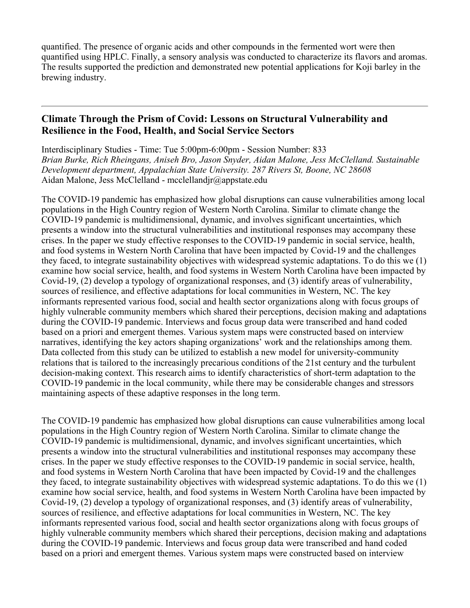**quantified. The presence of organic acids and other compounds in the fermented wort were then quantified using HPLC. Finally, a sensory analysis was conducted to characterize its flavors and aromas. The results supported the prediction and demonstrated new potential applications for Koji barley in the brewing industry.** 

#### **Climate Through the Prism of Covid: Lessons on Structural Vulnerability and Resilience in the Food, Health, and Social Service Sectors**

**Interdisciplinary Studies - Time: Tue 5:00pm-6:00pm - Session Number: 833** *Brian Burke, Rich Rheingans, Aniseh Bro, Jason Snyder, Aidan Malone, Jess McClelland. Sustainable Development department, Appalachian State University. 287 Rivers St, Boone, NC 28608* **Aidan Malone, Jess McClelland - mcclellandjr@appstate.edu**

**The COVID-19 pandemic has emphasized how global disruptions can cause vulnerabilities among local populations in the High Country region of Western North Carolina. Similar to climate change the COVID-19 pandemic is multidimensional, dynamic, and involves significant uncertainties, which presents a window into the structural vulnerabilities and institutional responses may accompany these crises. In the paper we study effective responses to the COVID-19 pandemic in social service, health, and food systems in Western North Carolina that have been impacted by Covid-19 and the challenges they faced, to integrate sustainability objectives with widespread systemic adaptations. To do this we (1) examine how social service, health, and food systems in Western North Carolina have been impacted by Covid-19, (2) develop a typology of organizational responses, and (3) identify areas of vulnerability, sources of resilience, and effective adaptations for local communities in Western, NC. The key informants represented various food, social and health sector organizations along with focus groups of highly vulnerable community members which shared their perceptions, decision making and adaptations during the COVID-19 pandemic. Interviews and focus group data were transcribed and hand coded based on a priori and emergent themes. Various system maps were constructed based on interview narratives, identifying the key actors shaping organizations' work and the relationships among them. Data collected from this study can be utilized to establish a new model for university-community relations that is tailored to the increasingly precarious conditions of the 21st century and the turbulent decision-making context. This research aims to identify characteristics of short-term adaptation to the COVID-19 pandemic in the local community, while there may be considerable changes and stressors maintaining aspects of these adaptive responses in the long term.**

**The COVID-19 pandemic has emphasized how global disruptions can cause vulnerabilities among local populations in the High Country region of Western North Carolina. Similar to climate change the COVID-19 pandemic is multidimensional, dynamic, and involves significant uncertainties, which presents a window into the structural vulnerabilities and institutional responses may accompany these crises. In the paper we study effective responses to the COVID-19 pandemic in social service, health, and food systems in Western North Carolina that have been impacted by Covid-19 and the challenges they faced, to integrate sustainability objectives with widespread systemic adaptations. To do this we (1) examine how social service, health, and food systems in Western North Carolina have been impacted by Covid-19, (2) develop a typology of organizational responses, and (3) identify areas of vulnerability, sources of resilience, and effective adaptations for local communities in Western, NC. The key informants represented various food, social and health sector organizations along with focus groups of highly vulnerable community members which shared their perceptions, decision making and adaptations during the COVID-19 pandemic. Interviews and focus group data were transcribed and hand coded based on a priori and emergent themes. Various system maps were constructed based on interview**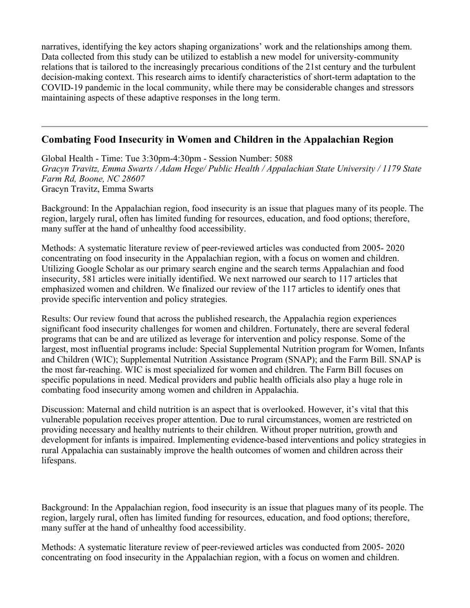**narratives, identifying the key actors shaping organizations' work and the relationships among them. Data collected from this study can be utilized to establish a new model for university-community relations that is tailored to the increasingly precarious conditions of the 21st century and the turbulent decision-making context. This research aims to identify characteristics of short-term adaptation to the COVID-19 pandemic in the local community, while there may be considerable changes and stressors maintaining aspects of these adaptive responses in the long term.**

#### **Combating Food Insecurity in Women and Children in the Appalachian Region**

**Global Health - Time: Tue 3:30pm-4:30pm - Session Number: 5088** *Gracyn Travitz, Emma Swarts / Adam Hege/ Public Health / Appalachian State University / 1179 State Farm Rd, Boone, NC 28607* **Gracyn Travitz, Emma Swarts**

**Background: In the Appalachian region, food insecurity is an issue that plagues many of its people. The region, largely rural, often has limited funding for resources, education, and food options; therefore, many suffer at the hand of unhealthy food accessibility.**

**Methods: A systematic literature review of peer-reviewed articles was conducted from 2005- 2020 concentrating on food insecurity in the Appalachian region, with a focus on women and children. Utilizing Google Scholar as our primary search engine and the search terms Appalachian and food insecurity, 581 articles were initially identified. We next narrowed our search to 117 articles that emphasized women and children. We finalized our review of the 117 articles to identify ones that provide specific intervention and policy strategies.**

**Results: Our review found that across the published research, the Appalachia region experiences significant food insecurity challenges for women and children. Fortunately, there are several federal programs that can be and are utilized as leverage for intervention and policy response. Some of the largest, most influential programs include: Special Supplemental Nutrition program for Women, Infants and Children (WIC); Supplemental Nutrition Assistance Program (SNAP); and the Farm Bill. SNAP is the most far-reaching. WIC is most specialized for women and children. The Farm Bill focuses on specific populations in need. Medical providers and public health officials also play a huge role in combating food insecurity among women and children in Appalachia.**

**Discussion: Maternal and child nutrition is an aspect that is overlooked. However, it's vital that this vulnerable population receives proper attention. Due to rural circumstances, women are restricted on providing necessary and healthy nutrients to their children. Without proper nutrition, growth and development for infants is impaired. Implementing evidence-based interventions and policy strategies in rural Appalachia can sustainably improve the health outcomes of women and children across their lifespans.**

**Background: In the Appalachian region, food insecurity is an issue that plagues many of its people. The region, largely rural, often has limited funding for resources, education, and food options; therefore, many suffer at the hand of unhealthy food accessibility.**

**Methods: A systematic literature review of peer-reviewed articles was conducted from 2005- 2020 concentrating on food insecurity in the Appalachian region, with a focus on women and children.**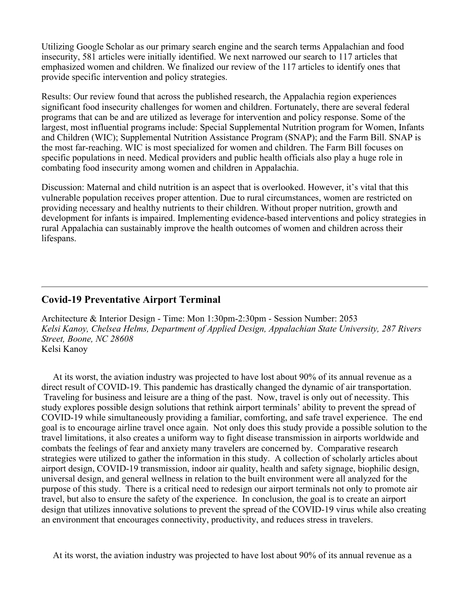**Utilizing Google Scholar as our primary search engine and the search terms Appalachian and food insecurity, 581 articles were initially identified. We next narrowed our search to 117 articles that emphasized women and children. We finalized our review of the 117 articles to identify ones that provide specific intervention and policy strategies.**

**Results: Our review found that across the published research, the Appalachia region experiences significant food insecurity challenges for women and children. Fortunately, there are several federal programs that can be and are utilized as leverage for intervention and policy response. Some of the largest, most influential programs include: Special Supplemental Nutrition program for Women, Infants and Children (WIC); Supplemental Nutrition Assistance Program (SNAP); and the Farm Bill. SNAP is the most far-reaching. WIC is most specialized for women and children. The Farm Bill focuses on specific populations in need. Medical providers and public health officials also play a huge role in combating food insecurity among women and children in Appalachia.**

**Discussion: Maternal and child nutrition is an aspect that is overlooked. However, it's vital that this vulnerable population receives proper attention. Due to rural circumstances, women are restricted on providing necessary and healthy nutrients to their children. Without proper nutrition, growth and development for infants is impaired. Implementing evidence-based interventions and policy strategies in rural Appalachia can sustainably improve the health outcomes of women and children across their lifespans.**

### **Covid-19 Preventative Airport Terminal**

**Architecture & Interior Design - Time: Mon 1:30pm-2:30pm - Session Number: 2053** *Kelsi Kanoy, Chelsea Helms, Department of Applied Design, Appalachian State University, 287 Rivers Street, Boone, NC 28608* **Kelsi Kanoy**

At its worst, the aviation industry was projected to have lost about 90% of its annual revenue as a **direct result of COVID-19. This pandemic has drastically changed the dynamic of air transportation.** Traveling for business and leisure are a thing of the past. Now, travel is only out of necessity. This **study explores possible design solutions that rethink airport terminals' ability to prevent the spread of COVID-19 while simultaneously providing a familiar, comforting, and safe travel experience. The end** goal is to encourage airline travel once again. Not only does this study provide a possible solution to the **travel limitations, it also creates a uniform way to fight disease transmission in airports worldwide and combats the feelings of fear and anxiety many travelers are concerned by. Comparative research strategies were utilized to gather the information in this study. A collection of scholarly articles about airport design, COVID-19 transmission, indoor air quality, health and safety signage, biophilic design, universal design, and general wellness in relation to the built environment were all analyzed for the** purpose of this study. There is a critical need to redesign our airport terminals not only to promote air travel, but also to ensure the safety of the experience. In conclusion, the goal is to create an airport **design that utilizes innovative solutions to prevent the spread of the COVID-19 virus while also creating an environment that encourages connectivity, productivity, and reduces stress in travelers.**

At its worst, the aviation industry was projected to have lost about 90% of its annual revenue as a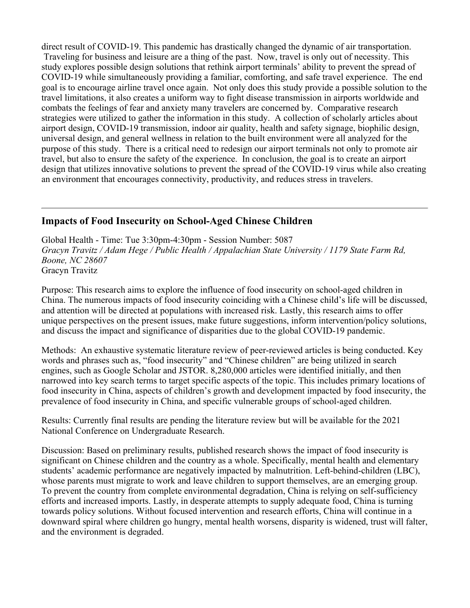**direct result of COVID-19. This pandemic has drastically changed the dynamic of air transportation.** Traveling for business and leisure are a thing of the past. Now, travel is only out of necessity. This **study explores possible design solutions that rethink airport terminals' ability to prevent the spread of COVID-19 while simultaneously providing a familiar, comforting, and safe travel experience. The end** goal is to encourage airline travel once again. Not only does this study provide a possible solution to the **travel limitations, it also creates a uniform way to fight disease transmission in airports worldwide and combats the feelings of fear and anxiety many travelers are concerned by. Comparative research strategies were utilized to gather the information in this study. A collection of scholarly articles about airport design, COVID-19 transmission, indoor air quality, health and safety signage, biophilic design, universal design, and general wellness in relation to the built environment were all analyzed for the** purpose of this study. There is a critical need to redesign our airport terminals not only to promote air travel, but also to ensure the safety of the experience. In conclusion, the goal is to create an airport **design that utilizes innovative solutions to prevent the spread of the COVID-19 virus while also creating an environment that encourages connectivity, productivity, and reduces stress in travelers.**

#### **Impacts of Food Insecurity on School-Aged Chinese Children**

**Global Health - Time: Tue 3:30pm-4:30pm - Session Number: 5087** *Gracyn Travitz / Adam Hege / Public Health / Appalachian State University / 1179 State Farm Rd, Boone, NC 28607* **Gracyn Travitz**

**Purpose: This research aims to explore the influence of food insecurity on school-aged children in China. The numerous impacts of food insecurity coinciding with a Chinese child's life will be discussed, and attention will be directed at populations with increased risk. Lastly, this research aims to offer unique perspectives on the present issues, make future suggestions, inform intervention/policy solutions, and discuss the impact and significance of disparities due to the global COVID-19 pandemic.** 

**Methods: An exhaustive systematic literature review of peer-reviewed articles is being conducted. Key words and phrases such as, "food insecurity" and "Chinese children" are being utilized in search engines, such as Google Scholar and JSTOR. 8,280,000 articles were identified initially, and then** narrowed into key search terms to target specific aspects of the topic. This includes primary locations of **food insecurity in China, aspects of children's growth and development impacted by food insecurity, the prevalence of food insecurity in China, and specific vulnerable groups of school-aged children.** 

**Results: Currently final results are pending the literature review but will be available for the 2021 National Conference on Undergraduate Research.**

**Discussion: Based on preliminary results, published research shows the impact of food insecurity is significant on Chinese children and the country as a whole. Specifically, mental health and elementary students' academic performance are negatively impacted by malnutrition. Left-behind-children (LBC), whose parents must migrate to work and leave children to support themselves, are an emerging group. To prevent the country from complete environmental degradation, China is relying on self-sufficiency efforts and increased imports. Lastly, in desperate attempts to supply adequate food, China is turning towards policy solutions. Without focused intervention and research efforts, China will continue in a downward spiral where children go hungry, mental health worsens, disparity is widened, trust will falter, and the environment is degraded.**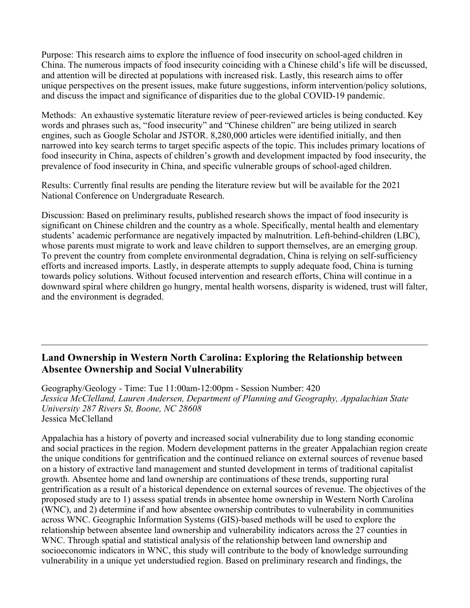**Purpose: This research aims to explore the influence of food insecurity on school-aged children in China. The numerous impacts of food insecurity coinciding with a Chinese child's life will be discussed, and attention will be directed at populations with increased risk. Lastly, this research aims to offer unique perspectives on the present issues, make future suggestions, inform intervention/policy solutions, and discuss the impact and significance of disparities due to the global COVID-19 pandemic.** 

**Methods: An exhaustive systematic literature review of peer-reviewed articles is being conducted. Key words and phrases such as, "food insecurity" and "Chinese children" are being utilized in search engines, such as Google Scholar and JSTOR. 8,280,000 articles were identified initially, and then** narrowed into key search terms to target specific aspects of the topic. This includes primary locations of **food insecurity in China, aspects of children's growth and development impacted by food insecurity, the prevalence of food insecurity in China, and specific vulnerable groups of school-aged children.** 

**Results: Currently final results are pending the literature review but will be available for the 2021 National Conference on Undergraduate Research.**

**Discussion: Based on preliminary results, published research shows the impact of food insecurity is significant on Chinese children and the country as a whole. Specifically, mental health and elementary students' academic performance are negatively impacted by malnutrition. Left-behind-children (LBC), whose parents must migrate to work and leave children to support themselves, are an emerging group. To prevent the country from complete environmental degradation, China is relying on self-sufficiency efforts and increased imports. Lastly, in desperate attempts to supply adequate food, China is turning towards policy solutions. Without focused intervention and research efforts, China will continue in a downward spiral where children go hungry, mental health worsens, disparity is widened, trust will falter, and the environment is degraded.**

### **Land Ownership in Western North Carolina: Exploring the Relationship between Absentee Ownership and Social Vulnerability**

**Geography/Geology - Time: Tue 11:00am-12:00pm - Session Number: 420** *Jessica McClelland, Lauren Andersen, Department of Planning and Geography, Appalachian State University 287 Rivers St, Boone, NC 28608* **Jessica McClelland**

**Appalachia has a history of poverty and increased social vulnerability due to long standing economic and social practices in the region. Modern development patterns in the greater Appalachian region create the unique conditions for gentrification and the continued reliance on external sources of revenue based on a history of extractive land management and stunted development in terms of traditional capitalist growth. Absentee home and land ownership are continuations of these trends, supporting rural** gentrification as a result of a historical dependence on external sources of revenue. The objectives of the **proposed study are to 1) assess spatial trends in absentee home ownership in Western North Carolina (WNC), and 2) determine if and how absentee ownership contributes to vulnerability in communities across WNC. Geographic Information Systems (GIS)-based methods will be used to explore the relationship between absentee land ownership and vulnerability indicators across the 27 counties in WNC. Through spatial and statistical analysis of the relationship between land ownership and socioeconomic indicators in WNC, this study will contribute to the body of knowledge surrounding vulnerability in a unique yet understudied region. Based on preliminary research and findings, the**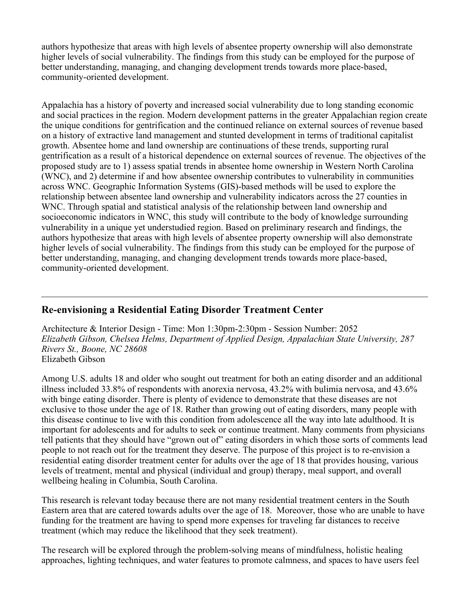**authors hypothesize that areas with high levels of absentee property ownership will also demonstrate higher levels of social vulnerability. The findings from this study can be employed for the purpose of better understanding, managing, and changing development trends towards more place-based, community-oriented development.**

**Appalachia has a history of poverty and increased social vulnerability due to long standing economic and social practices in the region. Modern development patterns in the greater Appalachian region create the unique conditions for gentrification and the continued reliance on external sources of revenue based on a history of extractive land management and stunted development in terms of traditional capitalist growth. Absentee home and land ownership are continuations of these trends, supporting rural** gentrification as a result of a historical dependence on external sources of revenue. The objectives of the **proposed study are to 1) assess spatial trends in absentee home ownership in Western North Carolina (WNC), and 2) determine if and how absentee ownership contributes to vulnerability in communities across WNC. Geographic Information Systems (GIS)-based methods will be used to explore the relationship between absentee land ownership and vulnerability indicators across the 27 counties in WNC. Through spatial and statistical analysis of the relationship between land ownership and socioeconomic indicators in WNC, this study will contribute to the body of knowledge surrounding vulnerability in a unique yet understudied region. Based on preliminary research and findings, the authors hypothesize that areas with high levels of absentee property ownership will also demonstrate higher levels of social vulnerability. The findings from this study can be employed for the purpose of better understanding, managing, and changing development trends towards more place-based, community-oriented development.**

## **Re-envisioning a Residential Eating Disorder Treatment Center**

**Architecture & Interior Design - Time: Mon 1:30pm-2:30pm - Session Number: 2052** *Elizabeth Gibson, Chelsea Helms, Department of Applied Design, Appalachian State University, 287 Rivers St., Boone, NC 28608* **Elizabeth Gibson**

Among U.S. adults 18 and older who sought out treatment for both an eating disorder and an additional **illness included 33.8% of respondents with anorexia nervosa, 43.2% with bulimia nervosa, and 43.6% with binge eating disorder. There is plenty of evidence to demonstrate that these diseases are not** exclusive to those under the age of 18. Rather than growing out of eating disorders, many people with this disease continue to live with this condition from adolescence all the way into late adulthood. It is **important for adolescents and for adults to seek or continue treatment. Many comments from physicians** tell patients that they should have "grown out of" eating disorders in which those sorts of comments lead people to not reach out for the treatment they deserve. The purpose of this project is to re-envision a **residential eating disorder treatment center for adults over the age of 18 that provides housing, various levels of treatment, mental and physical (individual and group) therapy, meal support, and overall wellbeing healing in Columbia, South Carolina.** 

**This research is relevant today because there are not many residential treatment centers in the South** Eastern area that are catered towards adults over the age of 18. Moreover, those who are unable to have **funding for the treatment are having to spend more expenses for traveling far distances to receive treatment (which may reduce the likelihood that they seek treatment).** 

**The research will be explored through the problem-solving means of mindfulness, holistic healing approaches, lighting techniques, and water features to promote calmness, and spaces to have users feel**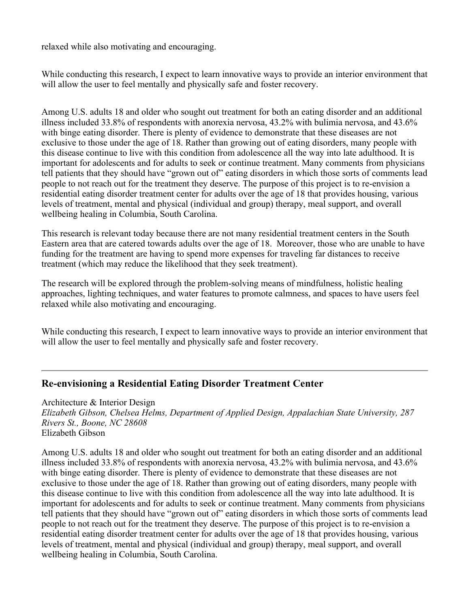**relaxed while also motivating and encouraging.**

**While conducting this research, I expect to learn innovative ways to provide an interior environment that will allow the user to feel mentally and physically safe and foster recovery.**

Among U.S. adults 18 and older who sought out treatment for both an eating disorder and an additional **illness included 33.8% of respondents with anorexia nervosa, 43.2% with bulimia nervosa, and 43.6% with binge eating disorder. There is plenty of evidence to demonstrate that these diseases are not** exclusive to those under the age of 18. Rather than growing out of eating disorders, many people with this disease continue to live with this condition from adolescence all the way into late adulthood. It is **important for adolescents and for adults to seek or continue treatment. Many comments from physicians** tell patients that they should have "grown out of" eating disorders in which those sorts of comments lead people to not reach out for the treatment they deserve. The purpose of this project is to re-envision a **residential eating disorder treatment center for adults over the age of 18 that provides housing, various levels of treatment, mental and physical (individual and group) therapy, meal support, and overall wellbeing healing in Columbia, South Carolina.** 

**This research is relevant today because there are not many residential treatment centers in the South** Eastern area that are catered towards adults over the age of 18. Moreover, those who are unable to have **funding for the treatment are having to spend more expenses for traveling far distances to receive treatment (which may reduce the likelihood that they seek treatment).** 

**The research will be explored through the problem-solving means of mindfulness, holistic healing approaches, lighting techniques, and water features to promote calmness, and spaces to have users feel relaxed while also motivating and encouraging.**

**While conducting this research, I expect to learn innovative ways to provide an interior environment that will allow the user to feel mentally and physically safe and foster recovery.**

#### **Re-envisioning a Residential Eating Disorder Treatment Center**

**Architecture & Interior Design**

*Elizabeth Gibson, Chelsea Helms, Department of Applied Design, Appalachian State University, 287 Rivers St., Boone, NC 28608* **Elizabeth Gibson**

Among U.S. adults 18 and older who sought out treatment for both an eating disorder and an additional **illness included 33.8% of respondents with anorexia nervosa, 43.2% with bulimia nervosa, and 43.6% with binge eating disorder. There is plenty of evidence to demonstrate that these diseases are not** exclusive to those under the age of 18. Rather than growing out of eating disorders, many people with this disease continue to live with this condition from adolescence all the way into late adulthood. It is **important for adolescents and for adults to seek or continue treatment. Many comments from physicians** tell patients that they should have "grown out of" eating disorders in which those sorts of comments lead people to not reach out for the treatment they deserve. The purpose of this project is to re-envision a **residential eating disorder treatment center for adults over the age of 18 that provides housing, various levels of treatment, mental and physical (individual and group) therapy, meal support, and overall wellbeing healing in Columbia, South Carolina.**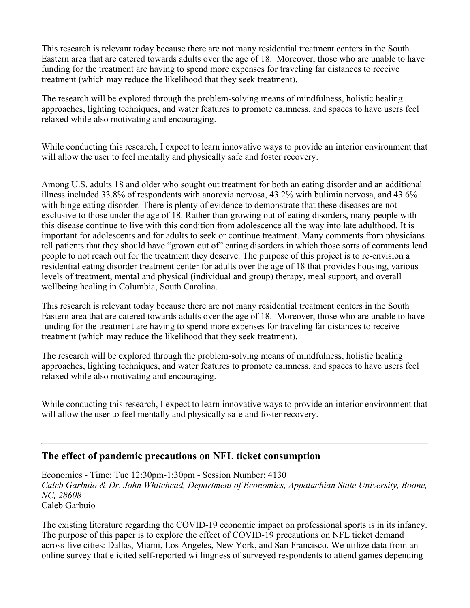**This research is relevant today because there are not many residential treatment centers in the South** Eastern area that are catered towards adults over the age of 18. Moreover, those who are unable to have **funding for the treatment are having to spend more expenses for traveling far distances to receive treatment (which may reduce the likelihood that they seek treatment).** 

**The research will be explored through the problem-solving means of mindfulness, holistic healing approaches, lighting techniques, and water features to promote calmness, and spaces to have users feel relaxed while also motivating and encouraging.**

**While conducting this research, I expect to learn innovative ways to provide an interior environment that will allow the user to feel mentally and physically safe and foster recovery.**

Among U.S. adults 18 and older who sought out treatment for both an eating disorder and an additional **illness included 33.8% of respondents with anorexia nervosa, 43.2% with bulimia nervosa, and 43.6% with binge eating disorder. There is plenty of evidence to demonstrate that these diseases are not** exclusive to those under the age of 18. Rather than growing out of eating disorders, many people with this disease continue to live with this condition from adolescence all the way into late adulthood. It is **important for adolescents and for adults to seek or continue treatment. Many comments from physicians** tell patients that they should have "grown out of" eating disorders in which those sorts of comments lead people to not reach out for the treatment they deserve. The purpose of this project is to re-envision a **residential eating disorder treatment center for adults over the age of 18 that provides housing, various levels of treatment, mental and physical (individual and group) therapy, meal support, and overall wellbeing healing in Columbia, South Carolina.** 

**This research is relevant today because there are not many residential treatment centers in the South** Eastern area that are catered towards adults over the age of 18. Moreover, those who are unable to have **funding for the treatment are having to spend more expenses for traveling far distances to receive treatment (which may reduce the likelihood that they seek treatment).** 

**The research will be explored through the problem-solving means of mindfulness, holistic healing approaches, lighting techniques, and water features to promote calmness, and spaces to have users feel relaxed while also motivating and encouraging.**

**While conducting this research, I expect to learn innovative ways to provide an interior environment that will allow the user to feel mentally and physically safe and foster recovery.**

#### **The effect of pandemic precautions on NFL ticket consumption**

**Economics - Time: Tue 12:30pm-1:30pm - Session Number: 4130** *Caleb Garbuio & Dr. John Whitehead, Department of Economics, Appalachian State University, Boone, NC, 28608* **Caleb Garbuio**

**The existing literature regarding the COVID-19 economic impact on professional sports is in its infancy. The purpose of this paper is to explore the effect of COVID-19 precautions on NFL ticket demand across five cities: Dallas, Miami, Los Angeles, New York, and San Francisco. We utilize data from an online survey that elicited self-reported willingness of surveyed respondents to attend games depending**